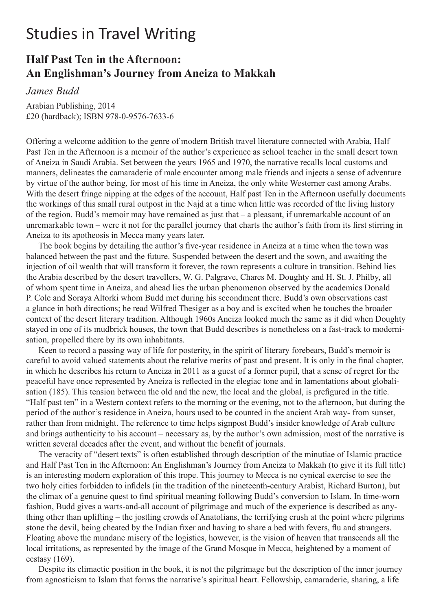## Studies in Travel Writing

## **Half Past Ten in the Afternoon: An Englishman's Journey from Aneiza to Makkah**

*James Budd*

Arabian Publishing, 2014 £20 (hardback); ISBN 978-0-9576-7633-6

Offering a welcome addition to the genre of modern British travel literature connected with Arabia, Half Past Ten in the Afternoon is a memoir of the author's experience as school teacher in the small desert town of Aneiza in Saudi Arabia. Set between the years 1965 and 1970, the narrative recalls local customs and manners, delineates the camaraderie of male encounter among male friends and injects a sense of adventure by virtue of the author being, for most of his time in Aneiza, the only white Westerner cast among Arabs. With the desert fringe nipping at the edges of the account, Half past Ten in the Afternoon usefully documents the workings of this small rural outpost in the Najd at a time when little was recorded of the living history of the region. Budd's memoir may have remained as just that – a pleasant, if unremarkable account of an unremarkable town – were it not for the parallel journey that charts the author's faith from its first stirring in Aneiza to its apotheosis in Mecca many years later.

The book begins by detailing the author's five-year residence in Aneiza at a time when the town was balanced between the past and the future. Suspended between the desert and the sown, and awaiting the injection of oil wealth that will transform it forever, the town represents a culture in transition. Behind lies the Arabia described by the desert travellers, W. G. Palgrave, Chares M. Doughty and H. St. J. Philby, all of whom spent time in Aneiza, and ahead lies the urban phenomenon observed by the academics Donald P. Cole and Soraya Altorki whom Budd met during his secondment there. Budd's own observations cast a glance in both directions; he read Wilfred Thesiger as a boy and is excited when he touches the broader context of the desert literary tradition. Although 1960s Aneiza looked much the same as it did when Doughty stayed in one of its mudbrick houses, the town that Budd describes is nonetheless on a fast-track to modernisation, propelled there by its own inhabitants.

Keen to record a passing way of life for posterity, in the spirit of literary forebears, Budd's memoir is careful to avoid valued statements about the relative merits of past and present. It is only in the final chapter, in which he describes his return to Aneiza in 2011 as a guest of a former pupil, that a sense of regret for the peaceful have once represented by Aneiza is reflected in the elegiac tone and in lamentations about globalisation (185). This tension between the old and the new, the local and the global, is prefigured in the title. "Half past ten" in a Western context refers to the morning or the evening, not to the afternoon, but during the period of the author's residence in Aneiza, hours used to be counted in the ancient Arab way- from sunset, rather than from midnight. The reference to time helps signpost Budd's insider knowledge of Arab culture and brings authenticity to his account – necessary as, by the author's own admission, most of the narrative is written several decades after the event, and without the benefit of journals.

The veracity of "desert texts" is often established through description of the minutiae of Islamic practice and Half Past Ten in the Afternoon: An Englishman's Journey from Aneiza to Makkah (to give it its full title) is an interesting modern exploration of this trope. This journey to Mecca is no cynical exercise to see the two holy cities forbidden to infidels (in the tradition of the nineteenth-century Arabist, Richard Burton), but the climax of a genuine quest to find spiritual meaning following Budd's conversion to Islam. In time-worn fashion, Budd gives a warts-and-all account of pilgrimage and much of the experience is described as anything other than uplifting – the jostling crowds of Anatolians, the terrifying crush at the point where pilgrims stone the devil, being cheated by the Indian fixer and having to share a bed with fevers, flu and strangers. Floating above the mundane misery of the logistics, however, is the vision of heaven that transcends all the local irritations, as represented by the image of the Grand Mosque in Mecca, heightened by a moment of ecstasy (169).

Despite its climactic position in the book, it is not the pilgrimage but the description of the inner journey from agnosticism to Islam that forms the narrative's spiritual heart. Fellowship, camaraderie, sharing, a life